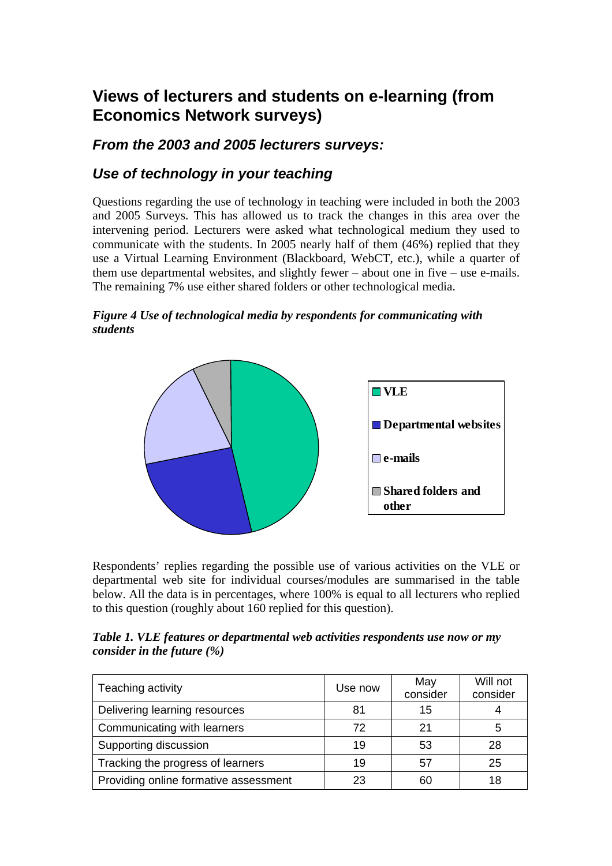# **Views of lecturers and students on e-learning (from Economics Network surveys)**

### *From the 2003 and 2005 lecturers surveys:*

### *Use of technology in your teaching*

Questions regarding the use of technology in teaching were included in both the 2003 and 2005 Surveys. This has allowed us to track the changes in this area over the intervening period. Lecturers were asked what technological medium they used to communicate with the students. In 2005 nearly half of them (46%) replied that they use a Virtual Learning Environment (Blackboard, WebCT, etc.), while a quarter of them use departmental websites, and slightly fewer – about one in five – use e-mails. The remaining 7% use either shared folders or other technological media.

#### *Figure 4 Use of technological media by respondents for communicating with students*



Respondents' replies regarding the possible use of various activities on the VLE or departmental web site for individual courses/modules are summarised in the table below. All the data is in percentages, where 100% is equal to all lecturers who replied to this question (roughly about 160 replied for this question).

*Table 1. VLE features or departmental web activities respondents use now or my consider in the future (%)* 

| Teaching activity                     | Use now | May<br>consider | Will not<br>consider |
|---------------------------------------|---------|-----------------|----------------------|
| Delivering learning resources         | 81      | 15              |                      |
| Communicating with learners           | 72      | 21              | 5                    |
| Supporting discussion                 | 19      | 53              | 28                   |
| Tracking the progress of learners     | 19      | 57              | 25                   |
| Providing online formative assessment | 23      | 60              | 18                   |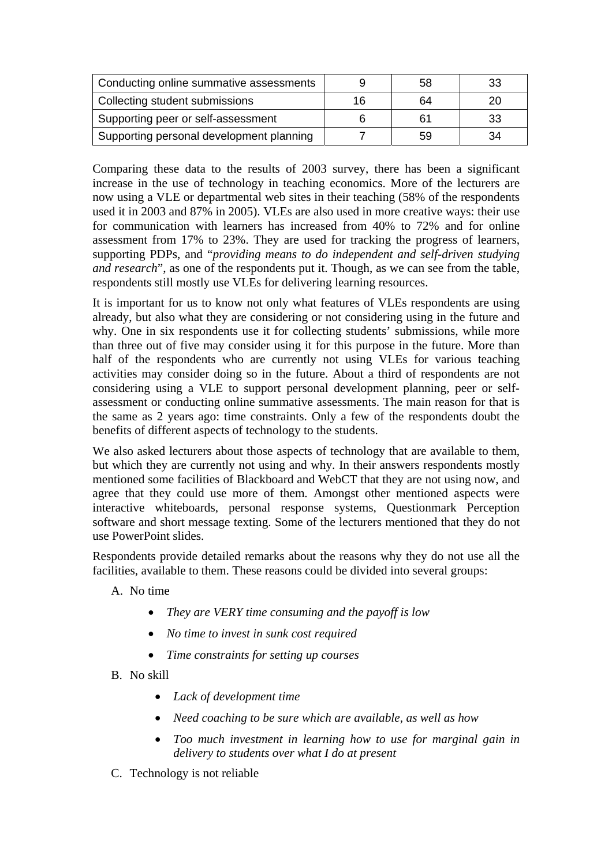| Conducting online summative assessments  |    | 58 |    |
|------------------------------------------|----|----|----|
| Collecting student submissions           | 16 | 64 |    |
| Supporting peer or self-assessment       |    |    | 33 |
| Supporting personal development planning |    | 59 | 34 |

Comparing these data to the results of 2003 survey, there has been a significant increase in the use of technology in teaching economics. More of the lecturers are now using a VLE or departmental web sites in their teaching (58% of the respondents used it in 2003 and 87% in 2005). VLEs are also used in more creative ways: their use for communication with learners has increased from 40% to 72% and for online assessment from 17% to 23%. They are used for tracking the progress of learners, supporting PDPs, and "*providing means to do independent and self-driven studying and research*", as one of the respondents put it. Though, as we can see from the table, respondents still mostly use VLEs for delivering learning resources.

It is important for us to know not only what features of VLEs respondents are using already, but also what they are considering or not considering using in the future and why. One in six respondents use it for collecting students' submissions, while more than three out of five may consider using it for this purpose in the future. More than half of the respondents who are currently not using VLEs for various teaching activities may consider doing so in the future. About a third of respondents are not considering using a VLE to support personal development planning, peer or selfassessment or conducting online summative assessments. The main reason for that is the same as 2 years ago: time constraints. Only a few of the respondents doubt the benefits of different aspects of technology to the students.

We also asked lecturers about those aspects of technology that are available to them, but which they are currently not using and why. In their answers respondents mostly mentioned some facilities of Blackboard and WebCT that they are not using now, and agree that they could use more of them. Amongst other mentioned aspects were interactive whiteboards, personal response systems, Questionmark Perception software and short message texting. Some of the lecturers mentioned that they do not use PowerPoint slides.

Respondents provide detailed remarks about the reasons why they do not use all the facilities, available to them. These reasons could be divided into several groups:

- A. No time
	- *They are VERY time consuming and the payoff is low*
	- *No time to invest in sunk cost required*
	- *Time constraints for setting up courses*
- B. No skill
	- *Lack of development time*
	- *Need coaching to be sure which are available, as well as how*
	- *Too much investment in learning how to use for marginal gain in delivery to students over what I do at present*
- C. Technology is not reliable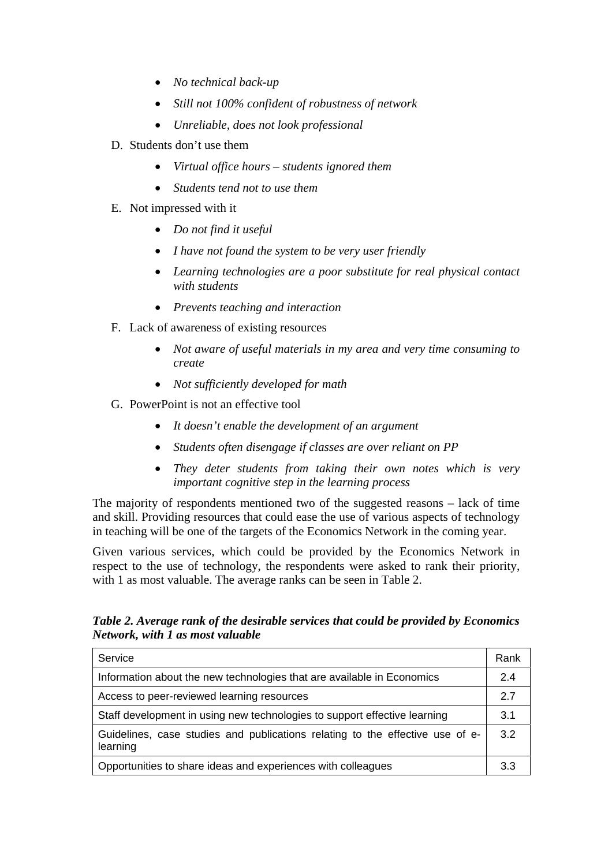- *No technical back-up*
- *Still not 100% confident of robustness of network*
- *Unreliable, does not look professional*
- D. Students don't use them
	- *Virtual office hours students ignored them*
	- *Students tend not to use them*
- E. Not impressed with it
	- *Do not find it useful*
	- *I have not found the system to be very user friendly*
	- *Learning technologies are a poor substitute for real physical contact with students*
	- *Prevents teaching and interaction*
- F. Lack of awareness of existing resources
	- *Not aware of useful materials in my area and very time consuming to create*
	- *Not sufficiently developed for math*
- G. PowerPoint is not an effective tool
	- *It doesn't enable the development of an argument*
	- *Students often disengage if classes are over reliant on PP*
	- *They deter students from taking their own notes which is very important cognitive step in the learning process*

The majority of respondents mentioned two of the suggested reasons – lack of time and skill. Providing resources that could ease the use of various aspects of technology in teaching will be one of the targets of the Economics Network in the coming year.

Given various services, which could be provided by the Economics Network in respect to the use of technology, the respondents were asked to rank their priority, with 1 as most valuable. The average ranks can be seen in Table 2.

*Table 2. Average rank of the desirable services that could be provided by Economics Network, with 1 as most valuable*

| Service                                                                                   | Rank |
|-------------------------------------------------------------------------------------------|------|
| Information about the new technologies that are available in Economics                    | 24   |
| Access to peer-reviewed learning resources                                                | 27   |
| Staff development in using new technologies to support effective learning                 | 3.1  |
| Guidelines, case studies and publications relating to the effective use of e-<br>learning | 3.2  |
| Opportunities to share ideas and experiences with colleagues                              | 3.3  |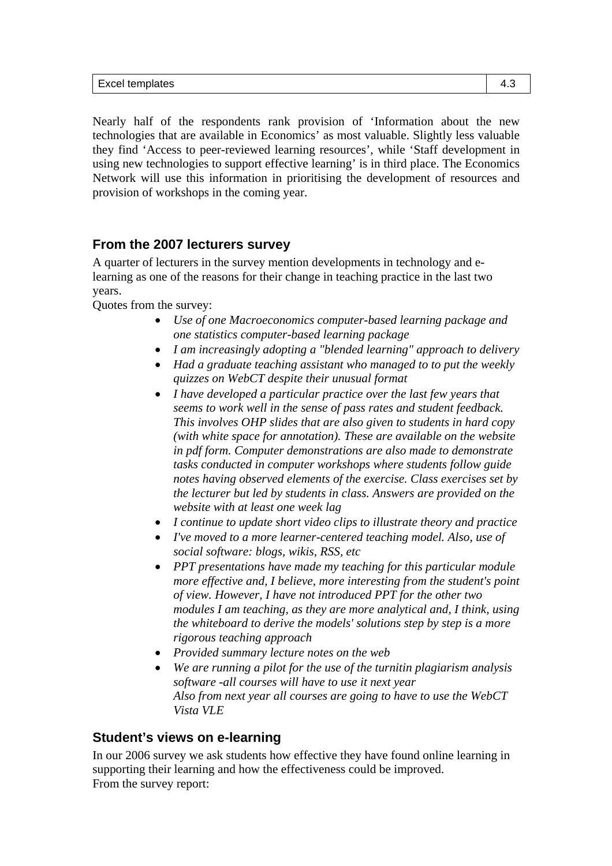Nearly half of the respondents rank provision of 'Information about the new technologies that are available in Economics' as most valuable. Slightly less valuable they find 'Access to peer-reviewed learning resources', while 'Staff development in using new technologies to support effective learning' is in third place. The Economics Network will use this information in prioritising the development of resources and provision of workshops in the coming year.

#### **From the 2007 lecturers survey**

A quarter of lecturers in the survey mention developments in technology and elearning as one of the reasons for their change in teaching practice in the last two years.

Quotes from the survey:

- *Use of one Macroeconomics computer-based learning package and one statistics computer-based learning package*
- *I am increasingly adopting a "blended learning" approach to delivery*
- *Had a graduate teaching assistant who managed to to put the weekly quizzes on WebCT despite their unusual format*
- *I have developed a particular practice over the last few years that seems to work well in the sense of pass rates and student feedback. This involves OHP slides that are also given to students in hard copy (with white space for annotation). These are available on the website in pdf form. Computer demonstrations are also made to demonstrate tasks conducted in computer workshops where students follow guide notes having observed elements of the exercise. Class exercises set by the lecturer but led by students in class. Answers are provided on the website with at least one week lag*
- *I continue to update short video clips to illustrate theory and practice*
- *I've moved to a more learner-centered teaching model. Also, use of social software: blogs, wikis, RSS, etc*
- *PPT presentations have made my teaching for this particular module more effective and, I believe, more interesting from the student's point of view. However, I have not introduced PPT for the other two modules I am teaching, as they are more analytical and, I think, using the whiteboard to derive the models' solutions step by step is a more rigorous teaching approach*
- *Provided summary lecture notes on the web*
- *We are running a pilot for the use of the turnitin plagiarism analysis software -all courses will have to use it next year Also from next year all courses are going to have to use the WebCT Vista VLE*

#### **Student's views on e-learning**

In our 2006 survey we ask students how effective they have found online learning in supporting their learning and how the effectiveness could be improved. From the survey report: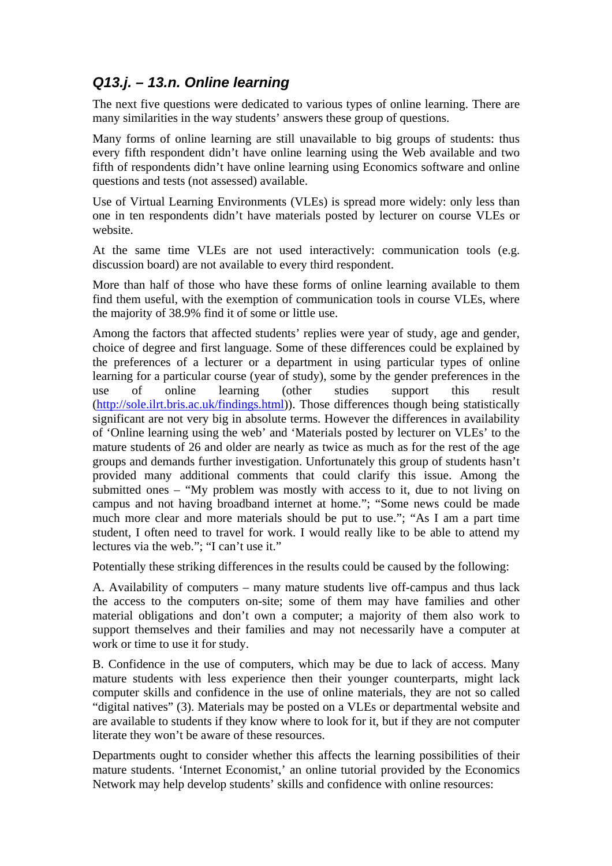## *Q13.j. – 13.n. Online learning*

The next five questions were dedicated to various types of online learning. There are many similarities in the way students' answers these group of questions.

Many forms of online learning are still unavailable to big groups of students: thus every fifth respondent didn't have online learning using the Web available and two fifth of respondents didn't have online learning using Economics software and online questions and tests (not assessed) available.

Use of Virtual Learning Environments (VLEs) is spread more widely: only less than one in ten respondents didn't have materials posted by lecturer on course VLEs or website.

At the same time VLEs are not used interactively: communication tools (e.g. discussion board) are not available to every third respondent.

More than half of those who have these forms of online learning available to them find them useful, with the exemption of communication tools in course VLEs, where the majority of 38.9% find it of some or little use.

Among the factors that affected students' replies were year of study, age and gender, choice of degree and first language. Some of these differences could be explained by the preferences of a lecturer or a department in using particular types of online learning for a particular course (year of study), some by the gender preferences in the use of online learning (other studies support this result (http://sole.ilrt.bris.ac.uk/findings.html)). Those differences though being statistically significant are not very big in absolute terms. However the differences in availability of 'Online learning using the web' and 'Materials posted by lecturer on VLEs' to the mature students of 26 and older are nearly as twice as much as for the rest of the age groups and demands further investigation. Unfortunately this group of students hasn't provided many additional comments that could clarify this issue. Among the submitted ones – "My problem was mostly with access to it, due to not living on campus and not having broadband internet at home."; "Some news could be made much more clear and more materials should be put to use."; "As I am a part time student, I often need to travel for work. I would really like to be able to attend my lectures via the web."; "I can't use it."

Potentially these striking differences in the results could be caused by the following:

A. Availability of computers – many mature students live off-campus and thus lack the access to the computers on-site; some of them may have families and other material obligations and don't own a computer; a majority of them also work to support themselves and their families and may not necessarily have a computer at work or time to use it for study.

B. Confidence in the use of computers, which may be due to lack of access. Many mature students with less experience then their younger counterparts, might lack computer skills and confidence in the use of online materials, they are not so called "digital natives" (3). Materials may be posted on a VLEs or departmental website and are available to students if they know where to look for it, but if they are not computer literate they won't be aware of these resources.

Departments ought to consider whether this affects the learning possibilities of their mature students. 'Internet Economist,' an online tutorial provided by the Economics Network may help develop students' skills and confidence with online resources: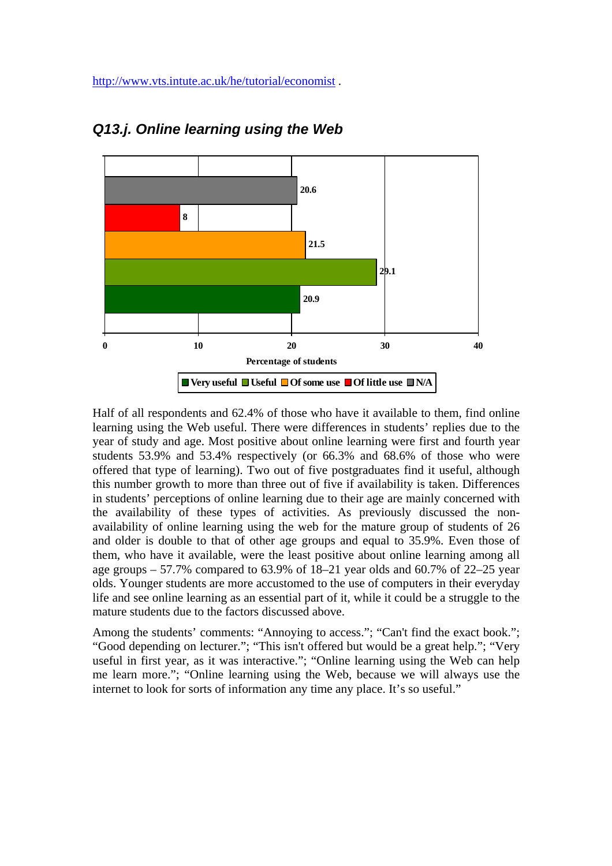

## *Q13.j. Online learning using the Web*

Half of all respondents and 62.4% of those who have it available to them, find online learning using the Web useful. There were differences in students' replies due to the year of study and age. Most positive about online learning were first and fourth year students 53.9% and 53.4% respectively (or 66.3% and 68.6% of those who were offered that type of learning). Two out of five postgraduates find it useful, although this number growth to more than three out of five if availability is taken. Differences in students' perceptions of online learning due to their age are mainly concerned with the availability of these types of activities. As previously discussed the nonavailability of online learning using the web for the mature group of students of 26 and older is double to that of other age groups and equal to 35.9%. Even those of them, who have it available, were the least positive about online learning among all age groups  $-57.7\%$  compared to 63.9% of 18–21 year olds and 60.7% of 22–25 year olds. Younger students are more accustomed to the use of computers in their everyday life and see online learning as an essential part of it, while it could be a struggle to the mature students due to the factors discussed above.

Among the students' comments: "Annoying to access."; "Can't find the exact book."; "Good depending on lecturer."; "This isn't offered but would be a great help."; "Very useful in first year, as it was interactive."; "Online learning using the Web can help me learn more."; "Online learning using the Web, because we will always use the internet to look for sorts of information any time any place. It's so useful."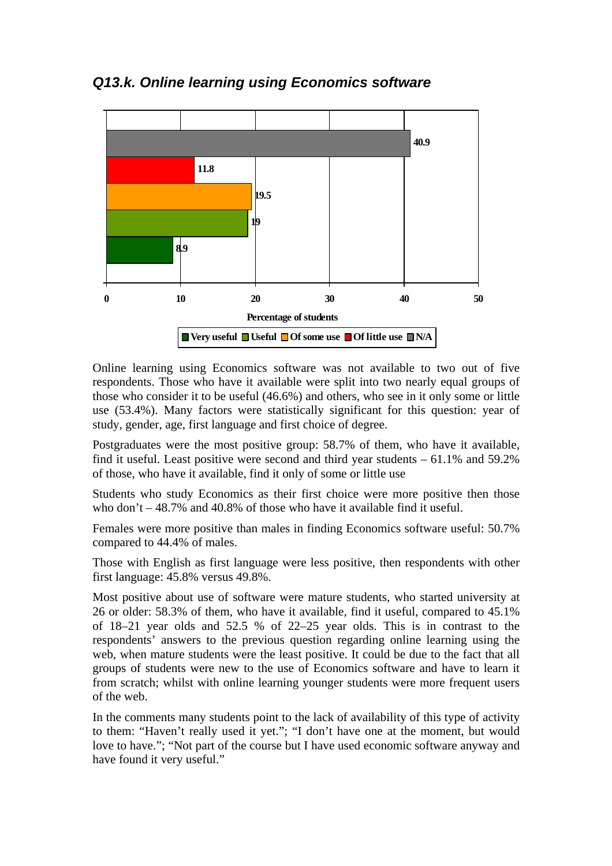*Q13.k. Online learning using Economics software*



Online learning using Economics software was not available to two out of five respondents. Those who have it available were split into two nearly equal groups of those who consider it to be useful (46.6%) and others, who see in it only some or little use (53.4%). Many factors were statistically significant for this question: year of study, gender, age, first language and first choice of degree.

Postgraduates were the most positive group: 58.7% of them, who have it available, find it useful. Least positive were second and third year students – 61.1% and 59.2% of those, who have it available, find it only of some or little use

Students who study Economics as their first choice were more positive then those who don't  $-48.7\%$  and 40.8% of those who have it available find it useful.

Females were more positive than males in finding Economics software useful: 50.7% compared to 44.4% of males.

Those with English as first language were less positive, then respondents with other first language: 45.8% versus 49.8%.

Most positive about use of software were mature students, who started university at 26 or older: 58.3% of them, who have it available, find it useful, compared to 45.1% of 18–21 year olds and 52.5 % of 22–25 year olds. This is in contrast to the respondents' answers to the previous question regarding online learning using the web, when mature students were the least positive. It could be due to the fact that all groups of students were new to the use of Economics software and have to learn it from scratch; whilst with online learning younger students were more frequent users of the web.

In the comments many students point to the lack of availability of this type of activity to them: "Haven't really used it yet."; "I don't have one at the moment, but would love to have."; "Not part of the course but I have used economic software anyway and have found it very useful."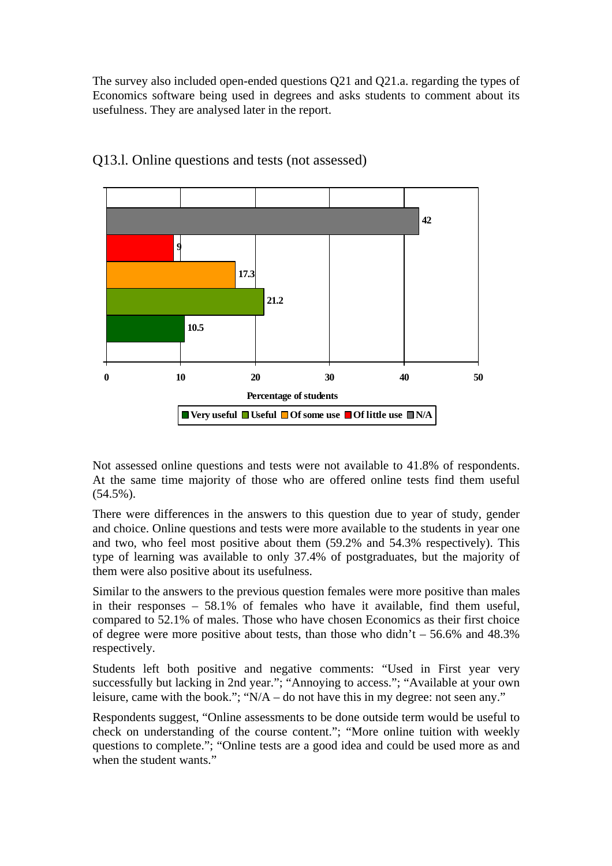The survey also included open-ended questions Q21 and Q21.a. regarding the types of Economics software being used in degrees and asks students to comment about its usefulness. They are analysed later in the report.



#### Q13.l. Online questions and tests (not assessed)

Not assessed online questions and tests were not available to 41.8% of respondents. At the same time majority of those who are offered online tests find them useful  $(54.5\%)$ .

There were differences in the answers to this question due to year of study, gender and choice. Online questions and tests were more available to the students in year one and two, who feel most positive about them (59.2% and 54.3% respectively). This type of learning was available to only 37.4% of postgraduates, but the majority of them were also positive about its usefulness.

Similar to the answers to the previous question females were more positive than males in their responses – 58.1% of females who have it available, find them useful, compared to 52.1% of males. Those who have chosen Economics as their first choice of degree were more positive about tests, than those who didn't  $-56.6\%$  and 48.3% respectively.

Students left both positive and negative comments: "Used in First year very successfully but lacking in 2nd year."; "Annoying to access."; "Available at your own leisure, came with the book."; "N/A – do not have this in my degree: not seen any."

Respondents suggest, "Online assessments to be done outside term would be useful to check on understanding of the course content."; "More online tuition with weekly questions to complete."; "Online tests are a good idea and could be used more as and when the student wants."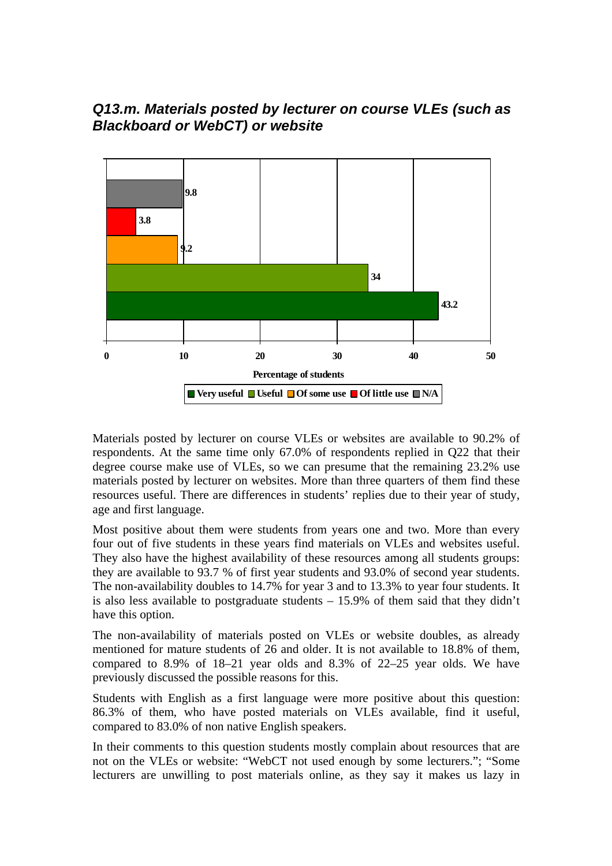### *Q13.m. Materials posted by lecturer on course VLEs (such as Blackboard or WebCT) or website*



Materials posted by lecturer on course VLEs or websites are available to 90.2% of respondents. At the same time only 67.0% of respondents replied in Q22 that their degree course make use of VLEs, so we can presume that the remaining 23.2% use materials posted by lecturer on websites. More than three quarters of them find these resources useful. There are differences in students' replies due to their year of study, age and first language.

Most positive about them were students from years one and two. More than every four out of five students in these years find materials on VLEs and websites useful. They also have the highest availability of these resources among all students groups: they are available to 93.7 % of first year students and 93.0% of second year students. The non-availability doubles to 14.7% for year 3 and to 13.3% to year four students. It is also less available to postgraduate students  $-15.9\%$  of them said that they didn't have this option.

The non-availability of materials posted on VLEs or website doubles, as already mentioned for mature students of 26 and older. It is not available to 18.8% of them, compared to 8.9% of 18–21 year olds and 8.3% of 22–25 year olds. We have previously discussed the possible reasons for this.

Students with English as a first language were more positive about this question: 86.3% of them, who have posted materials on VLEs available, find it useful, compared to 83.0% of non native English speakers.

In their comments to this question students mostly complain about resources that are not on the VLEs or website: "WebCT not used enough by some lecturers."; "Some lecturers are unwilling to post materials online, as they say it makes us lazy in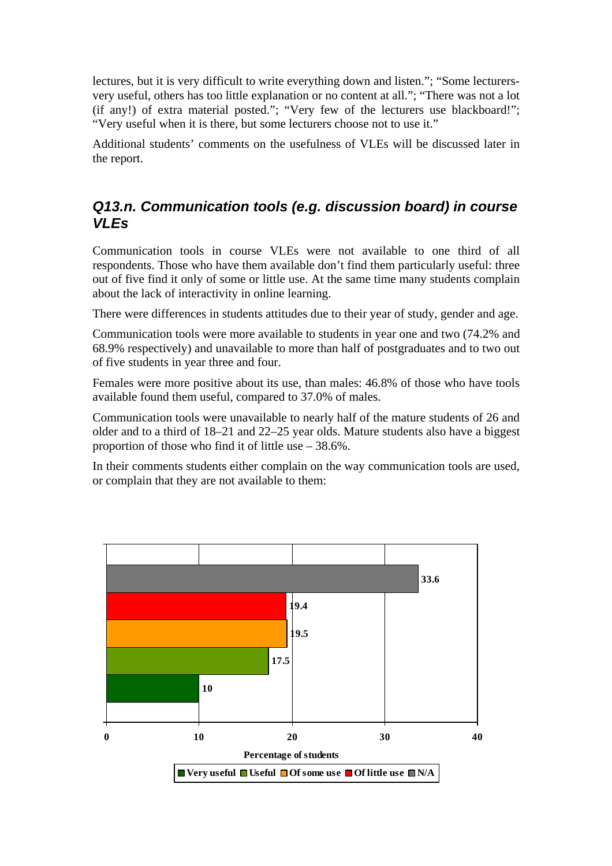lectures, but it is very difficult to write everything down and listen."; "Some lecturersvery useful, others has too little explanation or no content at all."; "There was not a lot (if any!) of extra material posted."; "Very few of the lecturers use blackboard!"; "Very useful when it is there, but some lecturers choose not to use it."

Additional students' comments on the usefulness of VLEs will be discussed later in the report.

## *Q13.n. Communication tools (e.g. discussion board) in course VLEs*

Communication tools in course VLEs were not available to one third of all respondents. Those who have them available don't find them particularly useful: three out of five find it only of some or little use. At the same time many students complain about the lack of interactivity in online learning.

There were differences in students attitudes due to their year of study, gender and age.

Communication tools were more available to students in year one and two (74.2% and 68.9% respectively) and unavailable to more than half of postgraduates and to two out of five students in year three and four.

Females were more positive about its use, than males: 46.8% of those who have tools available found them useful, compared to 37.0% of males.

Communication tools were unavailable to nearly half of the mature students of 26 and older and to a third of 18–21 and 22–25 year olds. Mature students also have a biggest proportion of those who find it of little use  $-38.6\%$ .

In their comments students either complain on the way communication tools are used, or complain that they are not available to them:

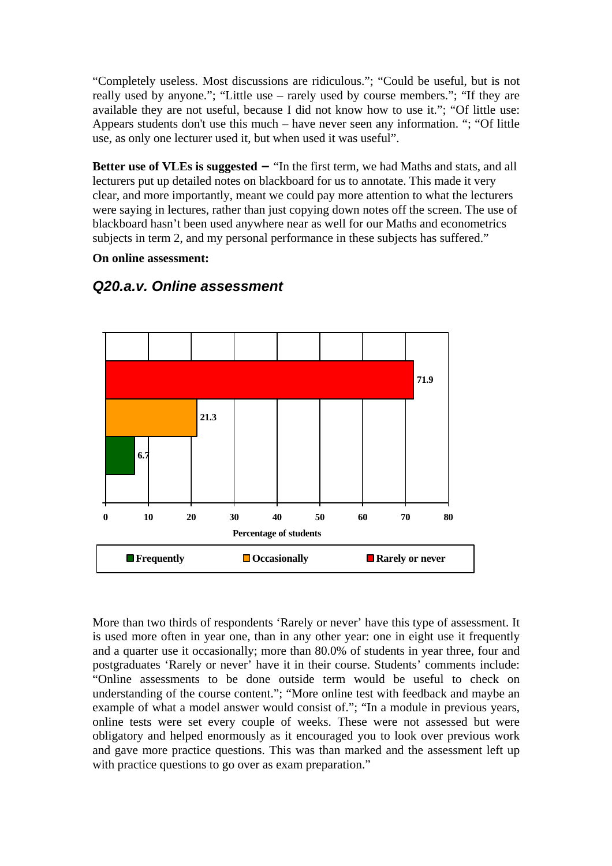"Completely useless. Most discussions are ridiculous."; "Could be useful, but is not really used by anyone."; "Little use – rarely used by course members."; "If they are available they are not useful, because I did not know how to use it."; "Of little use: Appears students don't use this much – have never seen any information. "; "Of little use, as only one lecturer used it, but when used it was useful".

**Better use of VLEs is suggested – "In the first term, we had Maths and stats, and all** lecturers put up detailed notes on blackboard for us to annotate. This made it very clear, and more importantly, meant we could pay more attention to what the lecturers were saying in lectures, rather than just copying down notes off the screen. The use of blackboard hasn't been used anywhere near as well for our Maths and econometrics subjects in term 2, and my personal performance in these subjects has suffered."

**On online assessment:** 



### *Q20.a.v. Online assessment*

More than two thirds of respondents 'Rarely or never' have this type of assessment. It is used more often in year one, than in any other year: one in eight use it frequently and a quarter use it occasionally; more than 80.0% of students in year three, four and postgraduates 'Rarely or never' have it in their course. Students' comments include: "Online assessments to be done outside term would be useful to check on understanding of the course content."; "More online test with feedback and maybe an example of what a model answer would consist of."; "In a module in previous years, online tests were set every couple of weeks. These were not assessed but were obligatory and helped enormously as it encouraged you to look over previous work and gave more practice questions. This was than marked and the assessment left up with practice questions to go over as exam preparation."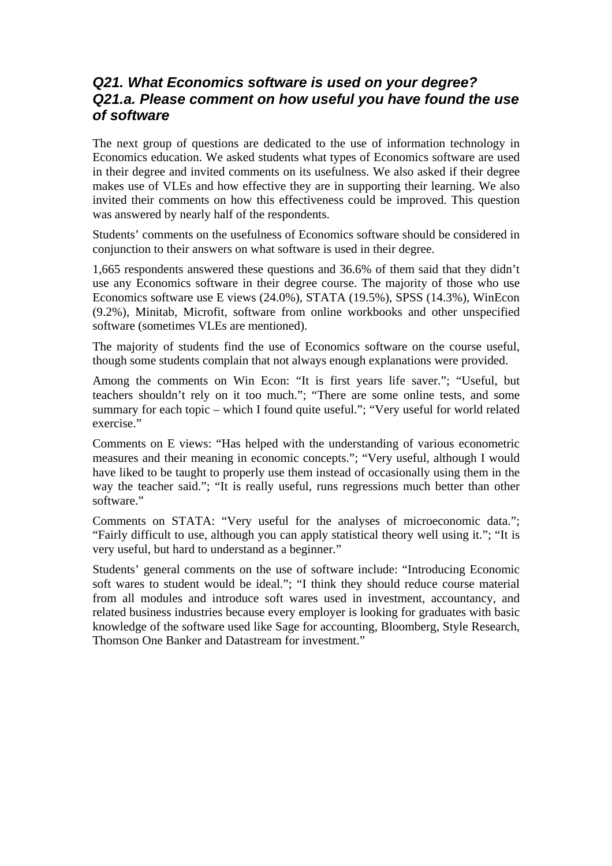### *Q21. What Economics software is used on your degree? Q21.a. Please comment on how useful you have found the use of software*

The next group of questions are dedicated to the use of information technology in Economics education. We asked students what types of Economics software are used in their degree and invited comments on its usefulness. We also asked if their degree makes use of VLEs and how effective they are in supporting their learning. We also invited their comments on how this effectiveness could be improved. This question was answered by nearly half of the respondents.

Students' comments on the usefulness of Economics software should be considered in conjunction to their answers on what software is used in their degree.

1,665 respondents answered these questions and 36.6% of them said that they didn't use any Economics software in their degree course. The majority of those who use Economics software use E views (24.0%), STATA (19.5%), SPSS (14.3%), WinEcon (9.2%), Minitab, Microfit, software from online workbooks and other unspecified software (sometimes VLEs are mentioned).

The majority of students find the use of Economics software on the course useful, though some students complain that not always enough explanations were provided.

Among the comments on Win Econ: "It is first years life saver."; "Useful, but teachers shouldn't rely on it too much."; "There are some online tests, and some summary for each topic – which I found quite useful."; "Very useful for world related exercise."

Comments on E views: "Has helped with the understanding of various econometric measures and their meaning in economic concepts."; "Very useful, although I would have liked to be taught to properly use them instead of occasionally using them in the way the teacher said."; "It is really useful, runs regressions much better than other software."

Comments on STATA: "Very useful for the analyses of microeconomic data."; "Fairly difficult to use, although you can apply statistical theory well using it."; "It is very useful, but hard to understand as a beginner."

Students' general comments on the use of software include: "Introducing Economic soft wares to student would be ideal."; "I think they should reduce course material from all modules and introduce soft wares used in investment, accountancy, and related business industries because every employer is looking for graduates with basic knowledge of the software used like Sage for accounting, Bloomberg, Style Research, Thomson One Banker and Datastream for investment."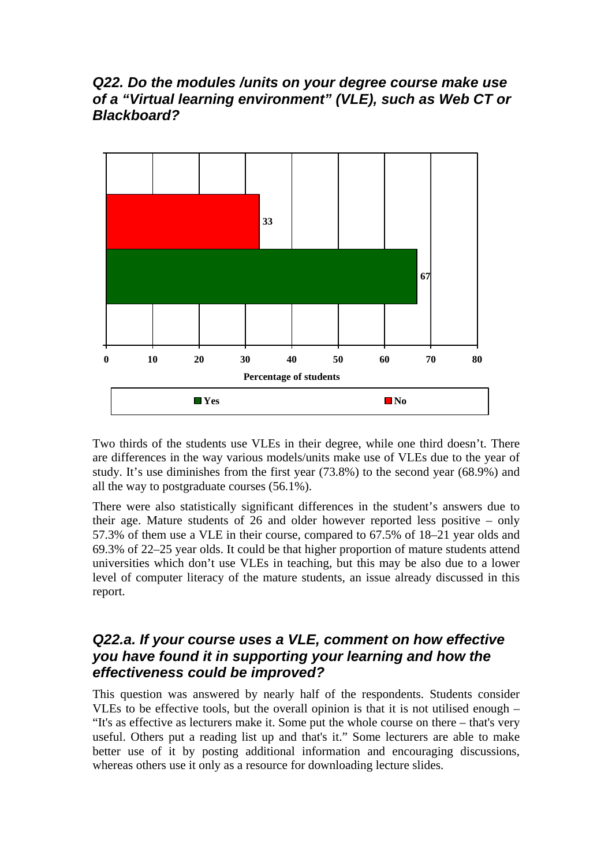### *Q22. Do the modules /units on your degree course make use of a "Virtual learning environment" (VLE), such as Web CT or Blackboard?*



Two thirds of the students use VLEs in their degree, while one third doesn't. There are differences in the way various models/units make use of VLEs due to the year of study. It's use diminishes from the first year (73.8%) to the second year (68.9%) and all the way to postgraduate courses (56.1%).

There were also statistically significant differences in the student's answers due to their age. Mature students of 26 and older however reported less positive – only 57.3% of them use a VLE in their course, compared to 67.5% of 18–21 year olds and 69.3% of 22–25 year olds. It could be that higher proportion of mature students attend universities which don't use VLEs in teaching, but this may be also due to a lower level of computer literacy of the mature students, an issue already discussed in this report.

### *Q22.a. If your course uses a VLE, comment on how effective you have found it in supporting your learning and how the effectiveness could be improved?*

This question was answered by nearly half of the respondents. Students consider VLEs to be effective tools, but the overall opinion is that it is not utilised enough – "It's as effective as lecturers make it. Some put the whole course on there – that's very useful. Others put a reading list up and that's it." Some lecturers are able to make better use of it by posting additional information and encouraging discussions, whereas others use it only as a resource for downloading lecture slides.